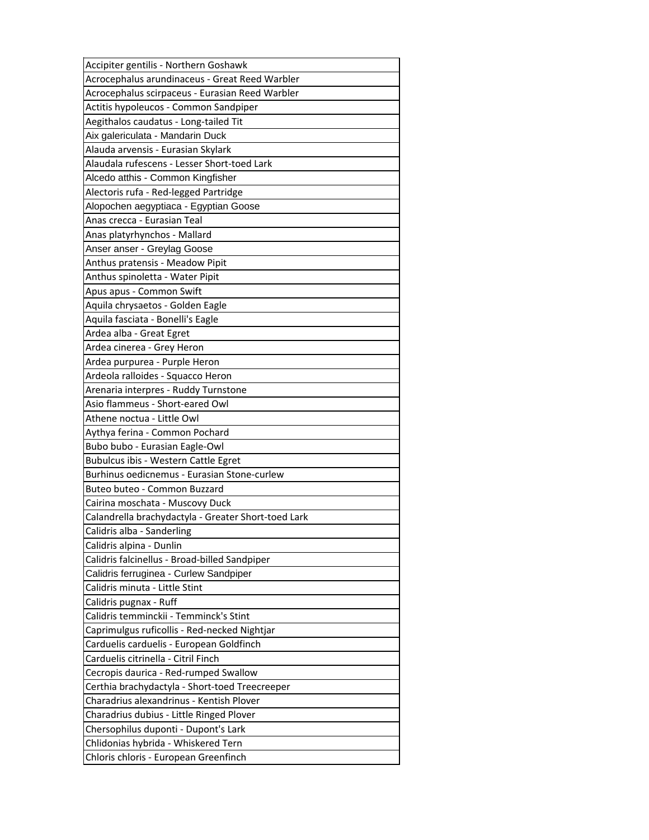| Accipiter gentilis - Northern Goshawk               |
|-----------------------------------------------------|
| Acrocephalus arundinaceus - Great Reed Warbler      |
| Acrocephalus scirpaceus - Eurasian Reed Warbler     |
| Actitis hypoleucos - Common Sandpiper               |
| Aegithalos caudatus - Long-tailed Tit               |
| Aix galericulata - Mandarin Duck                    |
| Alauda arvensis - Eurasian Skylark                  |
| Alaudala rufescens - Lesser Short-toed Lark         |
| Alcedo atthis - Common Kingfisher                   |
| Alectoris rufa - Red-legged Partridge               |
| Alopochen aegyptiaca - Egyptian Goose               |
| Anas crecca - Eurasian Teal                         |
| Anas platyrhynchos - Mallard                        |
| Anser anser - Greylag Goose                         |
| Anthus pratensis - Meadow Pipit                     |
| Anthus spinoletta - Water Pipit                     |
| Apus apus - Common Swift                            |
| Aquila chrysaetos - Golden Eagle                    |
| Aquila fasciata - Bonelli's Eagle                   |
| Ardea alba - Great Egret                            |
| Ardea cinerea - Grey Heron                          |
| Ardea purpurea - Purple Heron                       |
| Ardeola ralloides - Squacco Heron                   |
| Arenaria interpres - Ruddy Turnstone                |
| Asio flammeus - Short-eared Owl                     |
|                                                     |
| Athene noctua - Little Owl                          |
| Aythya ferina - Common Pochard                      |
| Bubo bubo - Eurasian Eagle-Owl                      |
| Bubulcus ibis - Western Cattle Egret                |
| Burhinus oedicnemus - Eurasian Stone-curlew         |
| Buteo buteo - Common Buzzard                        |
| Cairina moschata - Muscovy Duck                     |
| Calandrella brachydactyla - Greater Short-toed Lark |
| Calidris alba - Sanderling                          |
| Calidris alpina - Dunlin                            |
| Calidris falcinellus - Broad-billed Sandpiper       |
| Calidris ferruginea - Curlew Sandpiper              |
| Calidris minuta - Little Stint                      |
| Calidris pugnax - Ruff                              |
| Calidris temminckii - Temminck's Stint              |
| Caprimulgus ruficollis - Red-necked Nightjar        |
| Carduelis carduelis - European Goldfinch            |
| Carduelis citrinella - Citril Finch                 |
| Cecropis daurica - Red-rumped Swallow               |
| Certhia brachydactyla - Short-toed Treecreeper      |
| Charadrius alexandrinus - Kentish Plover            |
| Charadrius dubius - Little Ringed Plover            |
| Chersophilus duponti - Dupont's Lark                |
| Chlidonias hybrida - Whiskered Tern                 |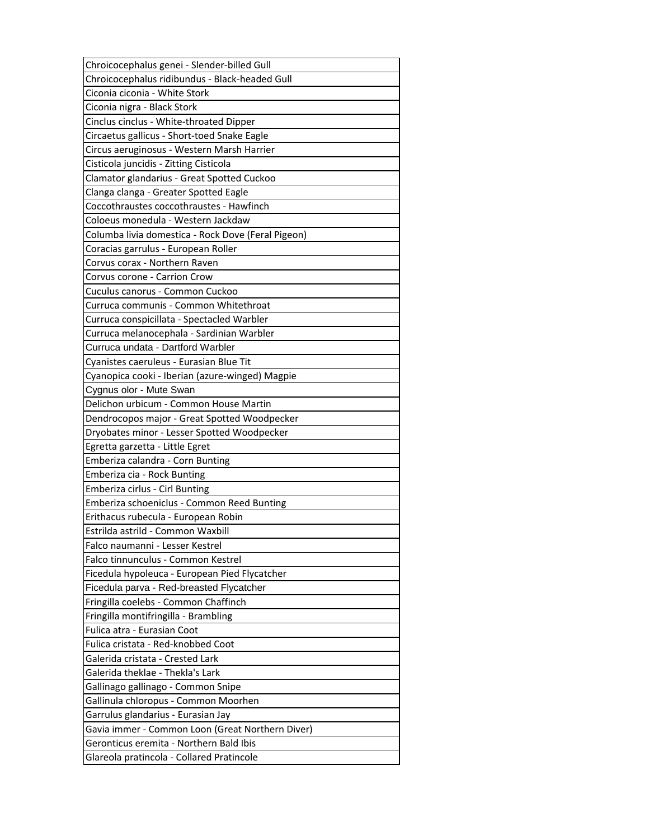| Chroicocephalus genei - Slender-billed Gull        |
|----------------------------------------------------|
| Chroicocephalus ridibundus - Black-headed Gull     |
| Ciconia ciconia - White Stork                      |
| Ciconia nigra - Black Stork                        |
| Cinclus cinclus - White-throated Dipper            |
| Circaetus gallicus - Short-toed Snake Eagle        |
| Circus aeruginosus - Western Marsh Harrier         |
| Cisticola juncidis - Zitting Cisticola             |
| Clamator glandarius - Great Spotted Cuckoo         |
| Clanga clanga - Greater Spotted Eagle              |
| Coccothraustes coccothraustes - Hawfinch           |
| Coloeus monedula - Western Jackdaw                 |
| Columba livia domestica - Rock Dove (Feral Pigeon) |
| Coracias garrulus - European Roller                |
| Corvus corax - Northern Raven                      |
| Corvus corone - Carrion Crow                       |
| Cuculus canorus - Common Cuckoo                    |
| Curruca communis - Common Whitethroat              |
| Curruca conspicillata - Spectacled Warbler         |
| Curruca melanocephala - Sardinian Warbler          |
| Curruca undata - Dartford Warbler                  |
| Cyanistes caeruleus - Eurasian Blue Tit            |
| Cyanopica cooki - Iberian (azure-winged) Magpie    |
| Cygnus olor - Mute Swan                            |
| Delichon urbicum - Common House Martin             |
| Dendrocopos major - Great Spotted Woodpecker       |
| Dryobates minor - Lesser Spotted Woodpecker        |
| Egretta garzetta - Little Egret                    |
| Emberiza calandra - Corn Bunting                   |
| Emberiza cia - Rock Bunting                        |
| Emberiza cirlus - Cirl Bunting                     |
| Emberiza schoeniclus - Common Reed Bunting         |
| Erithacus rubecula - European Robin                |
| Estrilda astrild - Common Waxbill                  |
| Falco naumanni - Lesser Kestrel                    |
| Falco tinnunculus - Common Kestrel                 |
| Ficedula hypoleuca - European Pied Flycatcher      |
| Ficedula parva - Red-breasted Flycatcher           |
| Fringilla coelebs - Common Chaffinch               |
| Fringilla montifringilla - Brambling               |
| Fulica atra - Eurasian Coot                        |
| Fulica cristata - Red-knobbed Coot                 |
| Galerida cristata - Crested Lark                   |
| Galerida theklae - Thekla's Lark                   |
| Gallinago gallinago - Common Snipe                 |
| Gallinula chloropus - Common Moorhen               |
| Garrulus glandarius - Eurasian Jay                 |
| Gavia immer - Common Loon (Great Northern Diver)   |
| Geronticus eremita - Northern Bald Ibis            |
|                                                    |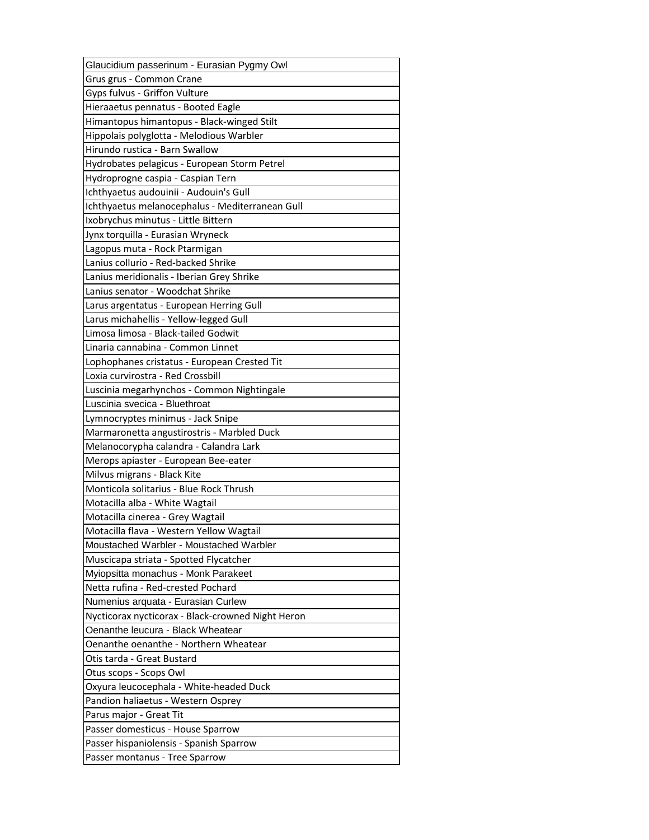| Glaucidium passerinum - Eurasian Pygmy Owl        |
|---------------------------------------------------|
| Grus grus - Common Crane                          |
| Gyps fulvus - Griffon Vulture                     |
| Hieraaetus pennatus - Booted Eagle                |
| Himantopus himantopus - Black-winged Stilt        |
| Hippolais polyglotta - Melodious Warbler          |
| Hirundo rustica - Barn Swallow                    |
| Hydrobates pelagicus - European Storm Petrel      |
| Hydroprogne caspia - Caspian Tern                 |
| Ichthyaetus audouinii - Audouin's Gull            |
| Ichthyaetus melanocephalus - Mediterranean Gull   |
| Ixobrychus minutus - Little Bittern               |
| Jynx torquilla - Eurasian Wryneck                 |
| Lagopus muta - Rock Ptarmigan                     |
| Lanius collurio - Red-backed Shrike               |
| Lanius meridionalis - Iberian Grey Shrike         |
| Lanius senator - Woodchat Shrike                  |
| Larus argentatus - European Herring Gull          |
| Larus michahellis - Yellow-legged Gull            |
| Limosa limosa - Black-tailed Godwit               |
| Linaria cannabina - Common Linnet                 |
| Lophophanes cristatus - European Crested Tit      |
| Loxia curvirostra - Red Crossbill                 |
| Luscinia megarhynchos - Common Nightingale        |
| Luscinia svecica - Bluethroat                     |
| Lymnocryptes minimus - Jack Snipe                 |
| Marmaronetta angustirostris - Marbled Duck        |
| Melanocorypha calandra - Calandra Lark            |
| Merops apiaster - European Bee-eater              |
| Milvus migrans - Black Kite                       |
| Monticola solitarius - Blue Rock Thrush           |
| Motacilla alba - White Wagtail                    |
| Motacilla cinerea - Grey Wagtail                  |
| Motacilla flava - Western Yellow Wagtail          |
| Moustached Warbler - Moustached Warbler           |
| Muscicapa striata - Spotted Flycatcher            |
| Myiopsitta monachus - Monk Parakeet               |
|                                                   |
| Netta rufina - Red-crested Pochard                |
| Numenius arquata - Eurasian Curlew                |
| Nycticorax nycticorax - Black-crowned Night Heron |
| Oenanthe leucura - Black Wheatear                 |
| Oenanthe oenanthe - Northern Wheatear             |
| Otis tarda - Great Bustard                        |
| Otus scops - Scops Owl                            |
| Oxyura leucocephala - White-headed Duck           |
| Pandion haliaetus - Western Osprey                |
| Parus major - Great Tit                           |
| Passer domesticus - House Sparrow                 |
| Passer hispaniolensis - Spanish Sparrow           |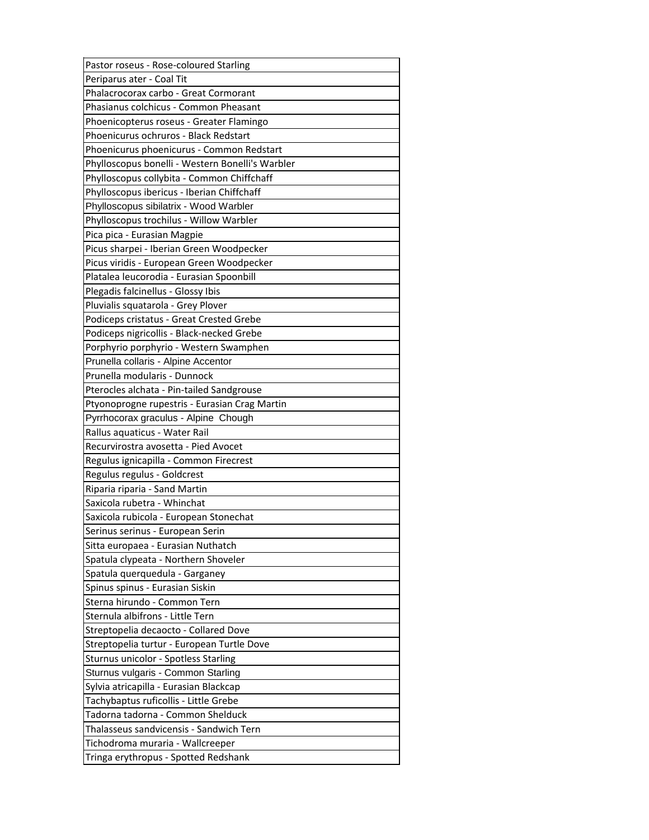| Pastor roseus - Rose-coloured Starling           |
|--------------------------------------------------|
| Periparus ater - Coal Tit                        |
| Phalacrocorax carbo - Great Cormorant            |
| Phasianus colchicus - Common Pheasant            |
| Phoenicopterus roseus - Greater Flamingo         |
| Phoenicurus ochruros - Black Redstart            |
| Phoenicurus phoenicurus - Common Redstart        |
| Phylloscopus bonelli - Western Bonelli's Warbler |
| Phylloscopus collybita - Common Chiffchaff       |
| Phylloscopus ibericus - Iberian Chiffchaff       |
| Phylloscopus sibilatrix - Wood Warbler           |
| Phylloscopus trochilus - Willow Warbler          |
| Pica pica - Eurasian Magpie                      |
| Picus sharpei - Iberian Green Woodpecker         |
| Picus viridis - European Green Woodpecker        |
| Platalea leucorodia - Eurasian Spoonbill         |
| Plegadis falcinellus - Glossy Ibis               |
| Pluvialis squatarola - Grey Plover               |
| Podiceps cristatus - Great Crested Grebe         |
| Podiceps nigricollis - Black-necked Grebe        |
| Porphyrio porphyrio - Western Swamphen           |
| Prunella collaris - Alpine Accentor              |
| Prunella modularis - Dunnock                     |
| Pterocles alchata - Pin-tailed Sandgrouse        |
| Ptyonoprogne rupestris - Eurasian Crag Martin    |
|                                                  |
| Pyrrhocorax graculus - Alpine Chough             |
| Rallus aquaticus - Water Rail                    |
| Recurvirostra avosetta - Pied Avocet             |
| Regulus ignicapilla - Common Firecrest           |
| Regulus regulus - Goldcrest                      |
| Riparia riparia - Sand Martin                    |
| Saxicola rubetra - Whinchat                      |
| Saxicola rubicola - European Stonechat           |
| Serinus serinus - European Serin                 |
| Sitta europaea - Eurasian Nuthatch               |
| Spatula clypeata - Northern Shoveler             |
| Spatula querquedula - Garganey                   |
| Spinus spinus - Eurasian Siskin                  |
| Sterna hirundo - Common Tern                     |
| Sternula albifrons - Little Tern                 |
| Streptopelia decaocto - Collared Dove            |
| Streptopelia turtur - European Turtle Dove       |
| Sturnus unicolor - Spotless Starling             |
| Sturnus vulgaris - Common Starling               |
| Sylvia atricapilla - Eurasian Blackcap           |
| Tachybaptus ruficollis - Little Grebe            |
| Tadorna tadorna - Common Shelduck                |
| Thalasseus sandvicensis - Sandwich Tern          |
| Tichodroma muraria - Wallcreeper                 |